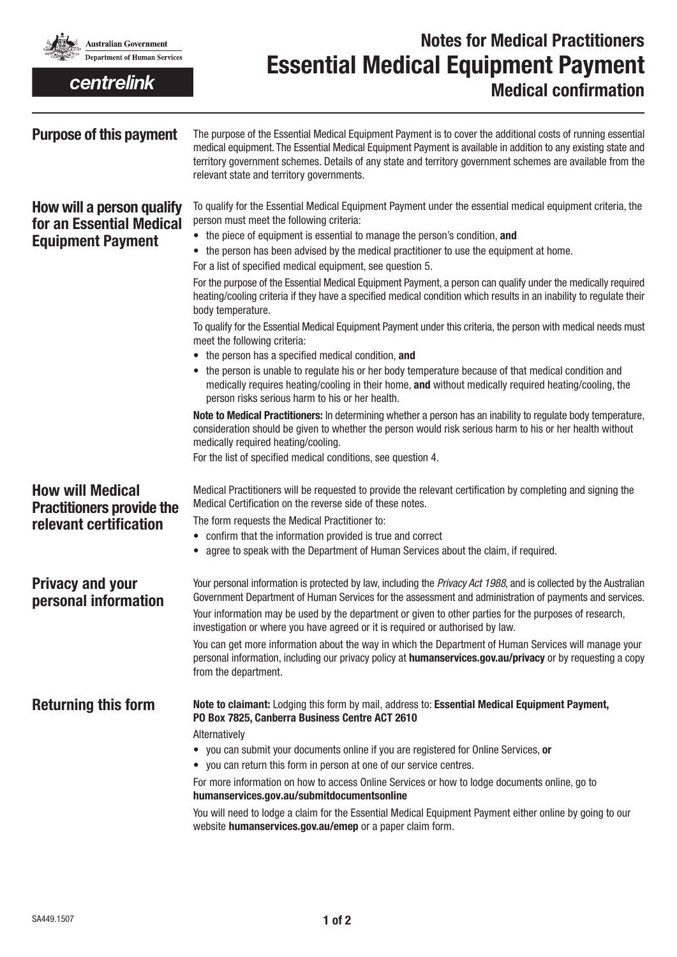

centrelink

## **Notes for Medical Practitioners Essential Medical Equipment Payment Medical confirmation**

| <b>Purpose of this payment</b>                                                    | The purpose of the Essential Medical Equipment Payment is to cover the additional costs of running essential<br>medical equipment. The Essential Medical Equipment Payment is available in addition to any existing state and<br>territory government schemes. Details of any state and territory government schemes are available from the<br>relevant state and territory governments.       |  |  |
|-----------------------------------------------------------------------------------|------------------------------------------------------------------------------------------------------------------------------------------------------------------------------------------------------------------------------------------------------------------------------------------------------------------------------------------------------------------------------------------------|--|--|
| How will a person qualify<br>for an Essential Medical<br><b>Equipment Payment</b> | To qualify for the Essential Medical Equipment Payment under the essential medical equipment criteria, the<br>person must meet the following criteria:<br>• the piece of equipment is essential to manage the person's condition, and<br>• the person has been advised by the medical practitioner to use the equipment at home.<br>For a list of specified medical equipment, see question 5. |  |  |
|                                                                                   | For the purpose of the Essential Medical Equipment Payment, a person can qualify under the medically required<br>heating/cooling criteria if they have a specified medical condition which results in an inability to regulate their<br>body temperature.                                                                                                                                      |  |  |
|                                                                                   | To qualify for the Essential Medical Equipment Payment under this criteria, the person with medical needs must<br>meet the following criteria:                                                                                                                                                                                                                                                 |  |  |
|                                                                                   | • the person has a specified medical condition, and<br>• the person is unable to regulate his or her body temperature because of that medical condition and<br>medically requires heating/cooling in their home, and without medically required heating/cooling, the<br>person risks serious harm to his or her health.                                                                        |  |  |
|                                                                                   | Note to Medical Practitioners: In determining whether a person has an inability to regulate body temperature,<br>consideration should be given to whether the person would risk serious harm to his or her health without<br>medically required heating/cooling.                                                                                                                               |  |  |
|                                                                                   | For the list of specified medical conditions, see question 4.                                                                                                                                                                                                                                                                                                                                  |  |  |
| <b>How will Medical</b><br><b>Practitioners provide the</b>                       | Medical Practitioners will be requested to provide the relevant certification by completing and signing the<br>Medical Certification on the reverse side of these notes.                                                                                                                                                                                                                       |  |  |
| relevant certification                                                            | The form requests the Medical Practitioner to:                                                                                                                                                                                                                                                                                                                                                 |  |  |
|                                                                                   | • confirm that the information provided is true and correct                                                                                                                                                                                                                                                                                                                                    |  |  |
|                                                                                   | • agree to speak with the Department of Human Services about the claim, if required.                                                                                                                                                                                                                                                                                                           |  |  |
| <b>Privacy and your</b><br>personal information                                   | Your personal information is protected by law, including the Privacy Act 1988, and is collected by the Australian<br>Government Department of Human Services for the assessment and administration of payments and services.<br>Your information may be used by the department or given to other parties for the purposes of research,                                                         |  |  |
|                                                                                   | investigation or where you have agreed or it is required or authorised by law.<br>You can get more information about the way in which the Department of Human Services will manage your<br>personal information, including our privacy policy at humanservices.gov.au/privacy or by requesting a copy<br>from the department.                                                                  |  |  |
| <b>Returning this form</b>                                                        | Note to claimant: Lodging this form by mail, address to: Essential Medical Equipment Payment,<br>PO Box 7825, Canberra Business Centre ACT 2610                                                                                                                                                                                                                                                |  |  |
|                                                                                   | Alternatively<br>• you can submit your documents online if you are registered for Online Services, or<br>• you can return this form in person at one of our service centres.                                                                                                                                                                                                                   |  |  |
|                                                                                   | For more information on how to access Online Services or how to lodge documents online, go to<br>humanservices.gov.au/submitdocumentsonline                                                                                                                                                                                                                                                    |  |  |
|                                                                                   | You will need to lodge a claim for the Essential Medical Equipment Payment either online by going to our<br>website humanservices.gov.au/emep or a paper claim form.                                                                                                                                                                                                                           |  |  |